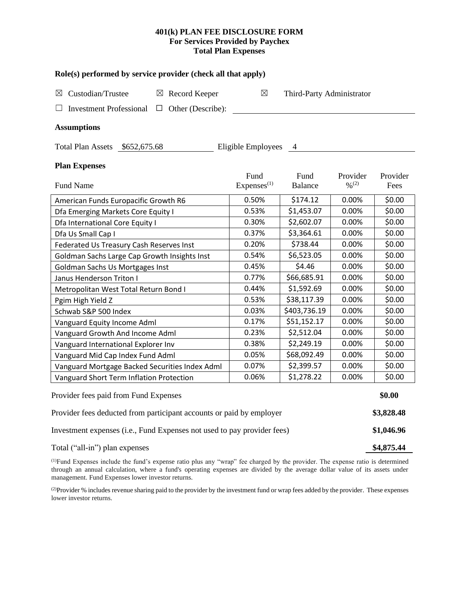## **401(k) PLAN FEE DISCLOSURE FORM For Services Provided by Paychex Total Plan Expenses**

| Role(s) performed by service provider (check all that apply)            |                                |                           |                    |                  |  |  |  |  |  |
|-------------------------------------------------------------------------|--------------------------------|---------------------------|--------------------|------------------|--|--|--|--|--|
| Custodian/Trustee<br>$\boxtimes$ Record Keeper<br>⊠                     | $\boxtimes$                    | Third-Party Administrator |                    |                  |  |  |  |  |  |
| <b>Investment Professional</b><br>$\Box$ Other (Describe):<br>ப         |                                |                           |                    |                  |  |  |  |  |  |
| <b>Assumptions</b>                                                      |                                |                           |                    |                  |  |  |  |  |  |
| Total Plan Assets \$652,675.68<br>Eligible Employees<br>4               |                                |                           |                    |                  |  |  |  |  |  |
| <b>Plan Expenses</b>                                                    |                                |                           |                    |                  |  |  |  |  |  |
| <b>Fund Name</b>                                                        | Fund<br>Express <sup>(1)</sup> | Fund<br><b>Balance</b>    | Provider<br>9/6(2) | Provider<br>Fees |  |  |  |  |  |
| American Funds Europacific Growth R6                                    | 0.50%                          | \$174.12                  | 0.00%              | \$0.00           |  |  |  |  |  |
| Dfa Emerging Markets Core Equity I                                      | 0.53%                          | \$1,453.07                | 0.00%              | \$0.00           |  |  |  |  |  |
| Dfa International Core Equity I                                         | 0.30%                          | \$2,602.07                | 0.00%              | \$0.00           |  |  |  |  |  |
| Dfa Us Small Cap I                                                      | 0.37%                          | \$3,364.61                | 0.00%              | \$0.00           |  |  |  |  |  |
| Federated Us Treasury Cash Reserves Inst                                | 0.20%                          | \$738.44                  | 0.00%              | \$0.00           |  |  |  |  |  |
| Goldman Sachs Large Cap Growth Insights Inst                            | 0.54%                          | \$6,523.05                | 0.00%              | \$0.00           |  |  |  |  |  |
| Goldman Sachs Us Mortgages Inst                                         | 0.45%                          | \$4.46                    | 0.00%              | \$0.00           |  |  |  |  |  |
| Janus Henderson Triton I                                                | 0.77%                          | \$66,685.91               | 0.00%              | \$0.00           |  |  |  |  |  |
| Metropolitan West Total Return Bond I                                   | 0.44%                          | \$1,592.69                | 0.00%              | \$0.00           |  |  |  |  |  |
| Pgim High Yield Z                                                       | 0.53%                          | \$38,117.39               | 0.00%              | \$0.00           |  |  |  |  |  |
| Schwab S&P 500 Index                                                    | 0.03%                          | \$403,736.19              | 0.00%              | \$0.00           |  |  |  |  |  |
| Vanguard Equity Income Adml                                             | 0.17%                          | \$51,152.17               | 0.00%              | \$0.00           |  |  |  |  |  |
| Vanguard Growth And Income Adml                                         | 0.23%                          | \$2,512.04                | 0.00%              | \$0.00           |  |  |  |  |  |
| Vanguard International Explorer Inv                                     | 0.38%                          | \$2,249.19                | 0.00%              | \$0.00           |  |  |  |  |  |
| Vanguard Mid Cap Index Fund Adml                                        | 0.05%                          | \$68,092.49               | 0.00%              | \$0.00           |  |  |  |  |  |
| Vanguard Mortgage Backed Securities Index Adml                          | 0.07%                          | \$2,399.57                | 0.00%              | \$0.00           |  |  |  |  |  |
| Vanguard Short Term Inflation Protection                                | 0.06%                          | \$1,278.22                | 0.00%              | \$0.00           |  |  |  |  |  |
| Provider fees paid from Fund Expenses                                   |                                |                           |                    |                  |  |  |  |  |  |
| Provider fees deducted from participant accounts or paid by employer    |                                |                           |                    |                  |  |  |  |  |  |
| Investment expenses (i.e., Fund Expenses not used to pay provider fees) |                                |                           |                    |                  |  |  |  |  |  |

Total ("all-in") plan expenses **\$4,875.44** 

(1)Fund Expenses include the fund's expense ratio plus any "wrap" fee charged by the provider. The expense ratio is determined through an annual calculation, where a fund's operating expenses are divided by the average dollar value of its assets under management. Fund Expenses lower investor returns.

(2) Provider % includes revenue sharing paid to the provider by the investment fund or wrap fees added by the provider. These expenses lower investor returns.